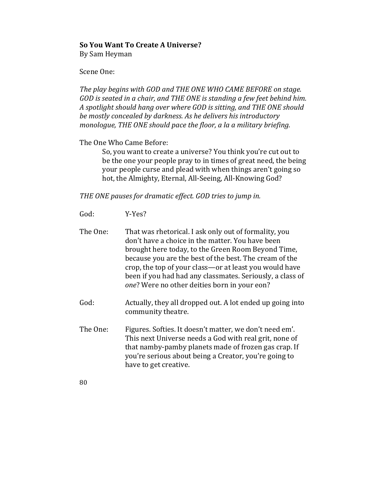## **So You Want To Create A Universe?**

By Sam Heyman

Scene One:

The play begins with GOD and THE ONE WHO CAME BEFORE on stage. *GOD* is seated in a chair, and THE ONE is standing a few feet behind him. A spotlight should hang over where GOD is sitting, and THE ONE should be mostly concealed by darkness. As he delivers his introductory *monologue,* THE ONE should pace the floor, a la a military briefing.

The One Who Came Before:

So, you want to create a universe? You think you're cut out to be the one your people pray to in times of great need, the being your people curse and plead with when things aren't going so hot, the Almighty, Eternal, All-Seeing, All-Knowing God?

THE ONE pauses for dramatic effect. GOD tries to jump in.

- God: Y-Yes?
- The One: That was rhetorical. I ask only out of formality, you don't have a choice in the matter. You have been brought here today, to the Green Room Beyond Time, because you are the best of the best. The cream of the crop, the top of your class—or at least you would have been if you had had any classmates. Seriously, a class of one? Were no other deities born in your eon?
- God: Actually, they all dropped out. A lot ended up going into community theatre.
- The One: Figures. Softies. It doesn't matter, we don't need em'. This next Universe needs a God with real grit, none of that namby-pamby planets made of frozen gas crap. If you're serious about being a Creator, you're going to have to get creative.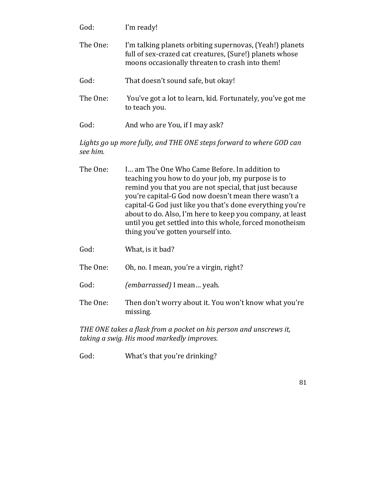| God:     | I'm ready!                                                                                                                                                             |
|----------|------------------------------------------------------------------------------------------------------------------------------------------------------------------------|
| The One: | I'm talking planets orbiting supernovas, (Yeah!) planets<br>full of sex-crazed cat creatures, (Sure!) planets whose<br>moons occasionally threaten to crash into them! |
| God:     | That doesn't sound safe, but okay!                                                                                                                                     |
| The One: | You've got a lot to learn, kid. Fortunately, you've got me<br>to teach you.                                                                                            |
| God:     | And who are You, if I may ask?                                                                                                                                         |

## Lights go up more fully, and THE ONE steps forward to where GOD can *see him.*

| The One: | I am The One Who Came Before. In addition to              |
|----------|-----------------------------------------------------------|
|          | teaching you how to do your job, my purpose is to         |
|          | remind you that you are not special, that just because    |
|          | you're capital-G God now doesn't mean there wasn't a      |
|          | capital-G God just like you that's done everything you're |
|          | about to do. Also, I'm here to keep you company, at least |
|          | until you get settled into this whole, forced monotheism  |
|          | thing you've gotten yourself into.                        |
|          |                                                           |

- God: What, is it bad?
- The One: Oh, no. I mean, you're a virgin, right?
- God: (*embarrassed*) I mean... yeah.
- The One: Then don't worry about it. You won't know what you're missing.

THE ONE takes a flask from a pocket on his person and unscrews it, taking a swig. His mood markedly improves.

God: What's that you're drinking?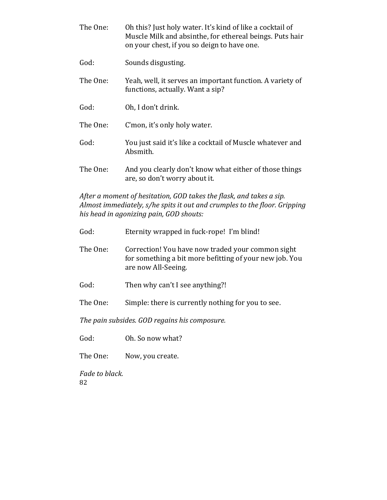| The One: | Oh this? Just holy water. It's kind of like a cocktail of<br>Muscle Milk and absinthe, for ethereal beings. Puts hair<br>on your chest, if you so deign to have one. |
|----------|----------------------------------------------------------------------------------------------------------------------------------------------------------------------|
| God:     | Sounds disgusting.                                                                                                                                                   |
| The One: | Yeah, well, it serves an important function. A variety of<br>functions, actually. Want a sip?                                                                        |
| God:     | Oh, I don't drink.                                                                                                                                                   |
| The One: | C'mon, it's only holy water.                                                                                                                                         |
| God:     | You just said it's like a cocktail of Muscle whatever and<br>Absmith.                                                                                                |
| The One: | And you clearly don't know what either of those things<br>are, so don't worry about it.                                                                              |

After a moment of hesitation, GOD takes the flask, and takes a sip. *Almost immediately, s/he spits it out and crumples to the floor. Gripping* his head in agonizing pain, GOD shouts:

God: Eternity wrapped in fuck-rope! I'm blind! The One: Correction! You have now traded your common sight for something a bit more befitting of your new job. You are now All-Seeing. God: Then why can't I see anything?! The One: Simple: there is currently nothing for you to see.

The pain subsides. GOD regains his composure.

God: Oh. So now what?

The One: Now, you create.

82 Fade to black.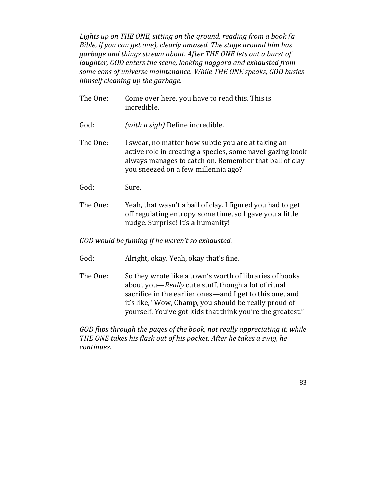Lights up on THE ONE, sitting on the ground, reading from a book (a *Bible, if you can get one), clearly amused. The stage around him has garbage and things strewn about. After THE ONE lets out a burst of laughter, GOD enters the scene, looking haggard and exhausted from* some eons of universe maintenance. While THE ONE speaks, GOD busies *himself cleaning up the garbage.* 

| The One:                                          | Come over here, you have to read this. This is<br>incredible.                                                                                                                                                    |  |
|---------------------------------------------------|------------------------------------------------------------------------------------------------------------------------------------------------------------------------------------------------------------------|--|
| God:                                              | (with a sigh) Define incredible.                                                                                                                                                                                 |  |
| The One:                                          | I swear, no matter how subtle you are at taking an<br>active role in creating a species, some navel-gazing kook<br>always manages to catch on. Remember that ball of clay<br>you sneezed on a few millennia ago? |  |
| God:                                              | Sure.                                                                                                                                                                                                            |  |
| The One:                                          | Yeah, that wasn't a ball of clay. I figured you had to get<br>off regulating entropy some time, so I gave you a little<br>nudge. Surprise! It's a humanity!                                                      |  |
| GOD would be fuming if he weren't so exhausted.   |                                                                                                                                                                                                                  |  |
| God:                                              | Alright, okay. Yeah, okay that's fine.                                                                                                                                                                           |  |
| $\mathbf{Th} \circ \mathbf{On} \circ \mathbf{on}$ | Co thou wate like a tours's worth of libraries of hooks                                                                                                                                                          |  |

The One:  $\qquad$  So they wrote like a town's worth of libraries of books about you—*Really* cute stuff, though a lot of ritual sacrifice in the earlier ones—and I get to this one, and it's like, "Wow, Champ, you should be really proud of yourself. You've got kids that think you're the greatest."

*GOD* flips through the pages of the book, not really appreciating it, while THE ONE takes his flask out of his pocket. After he takes a swig, he *continues.*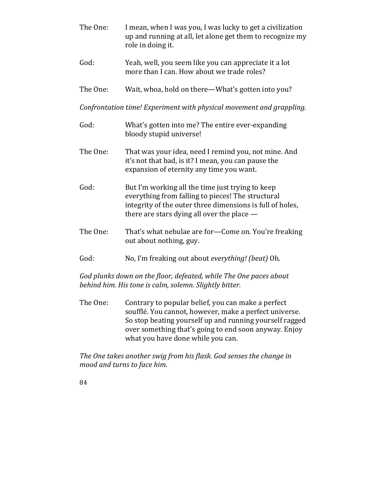- The One: I mean, when I was you, I was lucky to get a civilization up and running at all, let alone get them to recognize my role in doing it. God: Yeah, well, you seem like you can appreciate it a lot more than I can. How about we trade roles? The One: Wait, whoa, hold on there—What's gotten into you? *Confrontation time! Experiment with physical movement and grappling.* God: What's gotten into me? The entire ever-expanding bloody stupid universe! The One: That was your idea, need I remind you, not mine. And it's not that bad, is it? I mean, you can pause the expansion of eternity any time you want. God: But I'm working all the time just trying to keep everything from falling to pieces! The structural integrity of the outer three dimensions is full of holes, there are stars dying all over the place  $-$ The One: That's what nebulae are for—Come on. You're freaking out about nothing, guy. God: No, I'm freaking out about *everything! (beat)* Oh. God plunks down on the floor, defeated, while The One paces about
- The One: Contrary to popular belief, you can make a perfect soufflé. You cannot, however, make a perfect universe. So stop beating yourself up and running yourself ragged over something that's going to end soon anyway. Enjoy what you have done while you can.

*behind him. His tone is calm, solemn. Slightly bitter.* 

The One takes another swig from his flask. God senses the change in *mood and turns to face him.*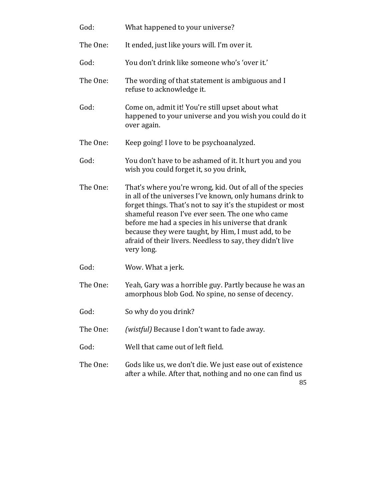| God:     | What happened to your universe?                                                                                                                                                                                                                                                                                                                                                                                                  |
|----------|----------------------------------------------------------------------------------------------------------------------------------------------------------------------------------------------------------------------------------------------------------------------------------------------------------------------------------------------------------------------------------------------------------------------------------|
| The One: | It ended, just like yours will. I'm over it.                                                                                                                                                                                                                                                                                                                                                                                     |
| God:     | You don't drink like someone who's 'over it.'                                                                                                                                                                                                                                                                                                                                                                                    |
| The One: | The wording of that statement is ambiguous and I<br>refuse to acknowledge it.                                                                                                                                                                                                                                                                                                                                                    |
| God:     | Come on, admit it! You're still upset about what<br>happened to your universe and you wish you could do it<br>over again.                                                                                                                                                                                                                                                                                                        |
| The One: | Keep going! I love to be psychoanalyzed.                                                                                                                                                                                                                                                                                                                                                                                         |
| God:     | You don't have to be ashamed of it. It hurt you and you<br>wish you could forget it, so you drink,                                                                                                                                                                                                                                                                                                                               |
| The One: | That's where you're wrong, kid. Out of all of the species<br>in all of the universes I've known, only humans drink to<br>forget things. That's not to say it's the stupidest or most<br>shameful reason I've ever seen. The one who came<br>before me had a species in his universe that drank<br>because they were taught, by Him, I must add, to be<br>afraid of their livers. Needless to say, they didn't live<br>very long. |
| God:     | Wow. What a jerk.                                                                                                                                                                                                                                                                                                                                                                                                                |
| The One: | Yeah, Gary was a horrible guy. Partly because he was an<br>amorphous blob God. No spine, no sense of decency.                                                                                                                                                                                                                                                                                                                    |
| God:     | So why do you drink?                                                                                                                                                                                                                                                                                                                                                                                                             |
| The One: | <i>(wistful)</i> Because I don't want to fade away.                                                                                                                                                                                                                                                                                                                                                                              |
| God:     | Well that came out of left field.                                                                                                                                                                                                                                                                                                                                                                                                |
| The One: | Gods like us, we don't die. We just ease out of existence<br>after a while. After that, nothing and no one can find us<br>85                                                                                                                                                                                                                                                                                                     |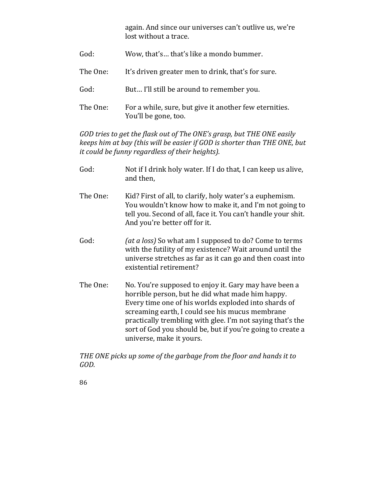again. And since our universes can't outlive us, we're lost without a trace.

God: Wow, that's... that's like a mondo bummer. The One: It's driven greater men to drink, that's for sure. God: But... I'll still be around to remember you. The One: For a while, sure, but give it another few eternities. You'll be gone, too.

*GOD* tries to get the flask out of The ONE's grasp, but THE ONE easily *keeps him at bay (this will be easier if GOD is shorter than THE ONE, but it could be funny regardless of their heights).* 

- God: Not if I drink holy water. If I do that, I can keep us alive, and then.
- The One: Kid? First of all, to clarify, holy water's a euphemism. You wouldn't know how to make it, and I'm not going to tell you. Second of all, face it. You can't handle your shit. And you're better off for it.
- God:  $(at \, a \, loss)$  So what am I supposed to do? Come to terms with the futility of my existence? Wait around until the universe stretches as far as it can go and then coast into existential retirement?
- The One: No. You're supposed to enjoy it. Gary may have been a horrible person, but he did what made him happy. Every time one of his worlds exploded into shards of screaming earth, I could see his mucus membrane practically trembling with glee. I'm not saying that's the sort of God you should be, but if you're going to create a universe, make it yours.

THE ONE picks up some of the garbage from the floor and hands it to *GOD.*